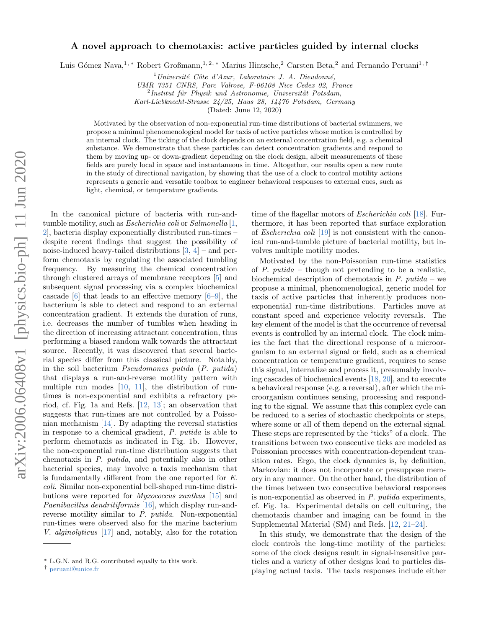# A novel approach to chemotaxis: active particles guided by internal clocks

Luis Gómez Nava,<sup>1,</sup> [∗](#page-0-0) Robert Großmann,<sup>1, 2,</sup> ∗ Marius Hintsche,<sup>2</sup> Carsten Beta,<sup>2</sup> and Fernando Peruani<sup>1,[†](#page-0-1)</sup>

 $1$ Université Côte d'Azur, Laboratoire J. A. Dieudonné,

UMR 7351 CNRS, Parc Valrose, F-06108 Nice Cedex 02, France

 $^{2}$ Institut für Physik und Astronomie, Universität Potsdam,

Karl-Liebknecht-Strasse 24/25, Haus 28, 14476 Potsdam, Germany

(Dated: June 12, 2020)

Motivated by the observation of non-exponential run-time distributions of bacterial swimmers, we propose a minimal phenomenological model for taxis of active particles whose motion is controlled by an internal clock. The ticking of the clock depends on an external concentration field, e.g. a chemical substance. We demonstrate that these particles can detect concentration gradients and respond to them by moving up- or down-gradient depending on the clock design, albeit measurements of these fields are purely local in space and instantaneous in time. Altogether, our results open a new route in the study of directional navigation, by showing that the use of a clock to control motility actions represents a generic and versatile toolbox to engineer behavioral responses to external cues, such as light, chemical, or temperature gradients.

In the canonical picture of bacteria with run-andtumble motility, such as *Escherichia coli* or *Salmonella* [\[1,](#page-5-0) [2\]](#page-5-1), bacteria display exponentially distributed run-times – despite recent findings that suggest the possibility of noise-induced heavy-tailed distributions  $[3, 4]$  $[3, 4]$  $[3, 4]$  – and perform chemotaxis by regulating the associated tumbling frequency. By measuring the chemical concentration through clustered arrays of membrane receptors [\[5\]](#page-5-4) and subsequent signal processing via a complex biochemical cascade  $[6]$  that leads to an effective memory  $[6-9]$  $[6-9]$ , the bacterium is able to detect and respond to an external concentration gradient. It extends the duration of runs, i.e. decreases the number of tumbles when heading in the direction of increasing attractant concentration, thus performing a biased random walk towards the attractant source. Recently, it was discovered that several bacterial species differ from this classical picture. Notably, in the soil bacterium Pseudomonas putida (P. putida) that displays a run-and-reverse motility pattern with multiple run modes [\[10,](#page-5-7) [11\]](#page-5-8), the distribution of runtimes is non-exponential and exhibits a refractory period, cf. Fig. [1a](#page-1-0) and Refs. [\[12,](#page-5-9) [13\]](#page-5-10); an observation that suggests that run-times are not controlled by a Poissonian mechanism [\[14\]](#page-5-11). By adapting the reversal statistics in response to a chemical gradient, P. putida is able to perform chemotaxis as indicated in Fig. [1b](#page-1-0). However, the non-exponential run-time distribution suggests that chemotaxis in P. putida, and potentially also in other bacterial species, may involve a taxis mechanism that is fundamentally different from the one reported for E. coli. Similar non-exponential bell-shaped run-time distributions were reported for Myxococcus xanthus [\[15\]](#page-5-12) and Paenibacillus dendritiformis [\[16\]](#page-5-13), which display run-andreverse motility similar to P. putida. Non-exponential run-times were observed also for the marine bacterium V. alginolyticus [\[17\]](#page-5-14) and, notably, also for the rotation

time of the flagellar motors of Escherichia coli [\[18\]](#page-5-15). Furthermore, it has been reported that surface exploration of Escherichia coli [\[19\]](#page-5-16) is not consistent with the canonical run-and-tumble picture of bacterial motility, but involves multiple motility modes.

Motivated by the non-Poissonian run-time statistics of P. putida – though not pretending to be a realistic, biochemical description of chemotaxis in  $P$ . putida – we propose a minimal, phenomenological, generic model for taxis of active particles that inherently produces nonexponential run-time distributions. Particles move at constant speed and experience velocity reversals. The key element of the model is that the occurrence of reversal events is controlled by an internal clock. The clock mimics the fact that the directional response of a microorganism to an external signal or field, such as a chemical concentration or temperature gradient, requires to sense this signal, internalize and process it, presumably involving cascades of biochemical events [\[18,](#page-5-15) [20\]](#page-5-17), and to execute a behavioral response (e.g. a reversal), after which the microorganism continues sensing, processing and responding to the signal. We assume that this complex cycle can be reduced to a series of stochastic checkpoints or steps, where some or all of them depend on the external signal. These steps are represented by the "ticks" of a clock. The transitions between two consecutive ticks are modeled as Poissonian processes with concentration-dependent transition rates. Ergo, the clock dynamics is, by definition, Markovian: it does not incorporate or presuppose memory in any manner. On the other hand, the distribution of the times between two consecutive behavioral responses is non-exponential as observed in P. putida experiments, cf. Fig. [1a](#page-1-0). Experimental details on cell culturing, the chemotaxis chamber and imaging can be found in the Supplemental Material (SM) and Refs. [\[12,](#page-5-9) [21–](#page-5-18)[24\]](#page-5-19).

In this study, we demonstrate that the design of the clock controls the long-time motility of the particles: some of the clock designs result in signal-insensitive particles and a variety of other designs lead to particles displaying actual taxis. The taxis responses include either

<span id="page-0-0"></span><sup>∗</sup> L.G.N. and R.G. contributed equally to this work.

<span id="page-0-1"></span><sup>†</sup> [peruani@unice.fr](mailto:peruani@unice.fr)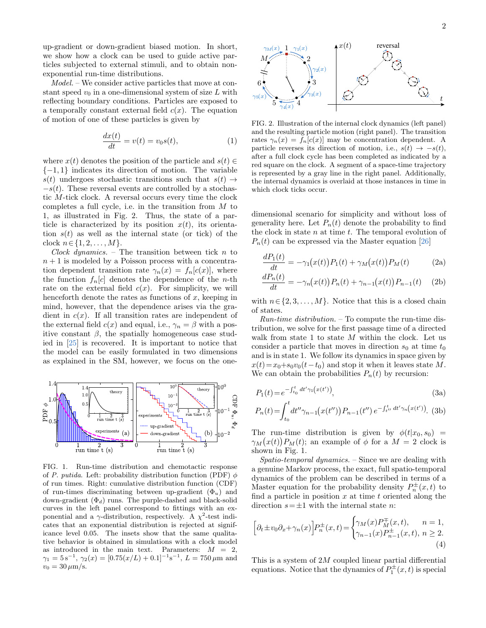up-gradient or down-gradient biased motion. In short, we show how a clock can be used to guide active particles subjected to external stimuli, and to obtain nonexponential run-time distributions.

Model. – We consider active particles that move at constant speed  $v_0$  in a one-dimensional system of size L with reflecting boundary conditions. Particles are exposed to a temporally constant external field  $c(x)$ . The equation of motion of one of these particles is given by

$$
\frac{dx(t)}{dt} = v(t) = v_0 s(t),\tag{1}
$$

where  $x(t)$  denotes the position of the particle and  $s(t) \in$  $\{-1, 1\}$  indicates its direction of motion. The variable  $s(t)$  undergoes stochastic transitions such that  $s(t) \rightarrow$  $-s(t)$ . These reversal events are controlled by a stochastic M-tick clock. A reversal occurs every time the clock completes a full cycle, i.e. in the transition from M to 1, as illustrated in Fig. [2.](#page-1-1) Thus, the state of a particle is characterized by its position  $x(t)$ , its orientation  $s(t)$  as well as the internal state (or tick) of the clock  $n \in \{1, 2, ..., M\}.$ 

Clock dynamics. – The transition between tick  $n$  to  $n + 1$  is modeled by a Poisson process with a concentration dependent transition rate  $\gamma_n(x) = f_n[c(x)]$ , where the function  $f_n[c]$  denotes the dependence of the *n*-th rate on the external field  $c(x)$ . For simplicity, we will henceforth denote the rates as functions of  $x$ , keeping in mind, however, that the dependence arises via the gradient in  $c(x)$ . If all transition rates are independent of the external field  $c(x)$  and equal, i.e.,  $\gamma_n = \beta$  with a positive constant  $\beta$ , the spatially homogeneous case studied in [\[25\]](#page-5-20) is recovered. It is important to notice that the model can be easily formulated in two dimensions as explained in the SM, however, we focus on the oneup emphats or town-gradient based mutual. In since the subjects of the subjects of a corerelation of the subscript of the subjects of the subjects of the subjects of the subjects of the subjects of the subjects of the sub



<span id="page-1-0"></span>FIG. 1. Run-time distribution and chemotactic response of P. putida. Left: probability distribution function (PDF)  $\phi$ of run times. Right: cumulative distribution function (CDF) of run-times discriminating between up-gradient  $(\Phi_u)$  and down-gradient  $(\Phi_d)$  runs. The purple-dashed and black-solid curves in the left panel correspond to fittings with an exponential and a  $\gamma$ -distribution, respectively. A  $\chi^2$ -test indicates that an exponential distribution is rejected at significance level 0.05. The insets show that the same qualitative behavior is obtained in simulations with a clock model as introduced in the main text. Parameters:  $M = 2$ ,  $\gamma_1 = 5 \,\mathrm{s}^{-1}$ ,  $\gamma_2(x) = [0.75(x/L) + 0.1]^{-1} \mathrm{s}^{-1}$ ,  $L = 750 \,\mu \mathrm{m}$  and



<span id="page-1-1"></span>FIG. 2. Illustration of the internal clock dynamics (left panel) and the resulting particle motion (right panel). The transition rates  $\gamma_n(x) = f_n[c(x)]$  may be concentration dependent. A particle reverses its direction of motion, i.e.,  $s(t) \rightarrow -s(t)$ , after a full clock cycle has been completed as indicated by a red square on the clock. A segment of a space-time trajectory is represented by a gray line in the right panel. Additionally, the internal dynamics is overlaid at those instances in time in which clock ticks occur.

dimensional scenario for simplicity and without loss of generality here. Let  $P_n(t)$  denote the probability to find the clock in state  $n$  at time  $t$ . The temporal evolution of  $P_n(t)$  can be expressed via the Master equation [\[26\]](#page-6-0)

$$
\frac{dP_1(t)}{dt} = -\gamma_1(x(t))P_1(t) + \gamma_M(x(t))P_M(t) \tag{2a}
$$

$$
\frac{dP_n(t)}{dt} = -\gamma_n(x(t))P_n(t) + \gamma_{n-1}(x(t))P_{n-1}(t) \quad (2b)
$$

with  $n \in \{2, 3, ..., M\}$ . Notice that this is a closed chain of states.

Run-time distribution. – To compute the run-time distribution, we solve for the first passage time of a directed walk from state 1 to state  $M$  within the clock. Let us consider a particle that moves in direction  $s_0$  at time  $t_0$ and is in state 1. We follow its dynamics in space given by  $x(t)=x_0+s_0v_0(t-t_0)$  and stop it when it leaves state M. We can obtain the probabilities  $P_n(t)$  by recursion:

<span id="page-1-3"></span>
$$
P_1(t) = e^{-\int_{t_0}^t dt' \gamma_1(x(t'))},\tag{3a}
$$

$$
P_n(t) = \int_{t_0}^t dt'' \gamma_{n-1}(x(t'')) P_{n-1}(t'') e^{-\int_{t''}^t dt' \gamma_n(x(t'))}.
$$
 (3b)

The run-time distribution is given by  $\phi(t|x_0, s_0)$  =  $\gamma_M(x(t))P_M(t)$ ; an example of  $\phi$  for a  $M = 2$  clock is shown in Fig. [1.](#page-1-0)

Spatio-temporal dynamics. – Since we are dealing with a genuine Markov process, the exact, full spatio-temporal dynamics of the problem can be described in terms of a Master equation for the probability density  $P_n^{\pm}(x,t)$  to find a particle in position  $x$  at time  $t$  oriented along the direction  $s=\pm 1$  with the internal state *n*:

<span id="page-1-2"></span>
$$
\left[\partial_t \pm v_0 \partial_x + \gamma_n(x)\right] P_n^{\pm}(x,t) = \begin{cases} \gamma_M(x) P_M^{\mp}(x,t), & n = 1, \\ \gamma_{n-1}(x) P_{n-1}^{\pm}(x,t), & n \ge 2. \end{cases}
$$
\n(4)

This is a system of 2M coupled linear partial differential equations. Notice that the dynamics of  $P_1^{\pm}(x,t)$  is special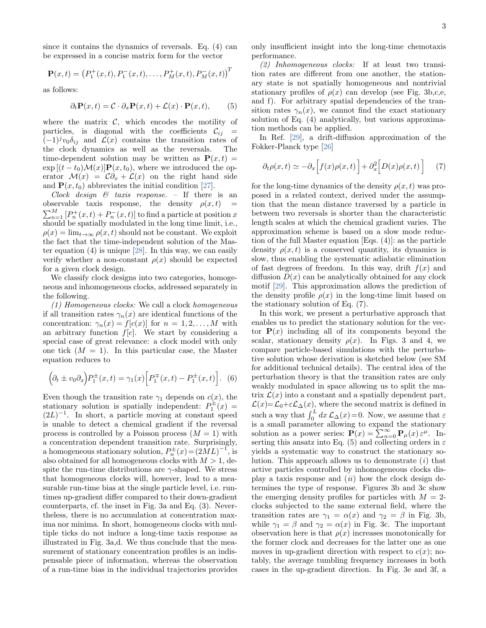since it contains the dynamics of reversals. Eq. [\(4\)](#page-1-2) can be expressed in a concise matrix form for the vector

$$
\mathbf{P}(x,t) = (P_1^+(x,t), P_1^-(x,t), \dots, P_M^+(x,t), P_M^-(x,t))^T
$$

as follows:

$$
\partial_t \mathbf{P}(x,t) = \mathcal{C} \cdot \partial_x \mathbf{P}(x,t) + \mathcal{L}(x) \cdot \mathbf{P}(x,t), \qquad (5)
$$

where the matrix  $\mathcal{C}$ , which encodes the motility of particles, is diagonal with the coefficients  $\mathcal{C}_{ij}$  =  $(-1)^j v_0 \delta_{ij}$  and  $\mathcal{L}(x)$  contains the transition rates of the clock dynamics as well as the reversals. The the clock dynamics as well as the reversals. time-dependent solution may be written as  $P(x, t) =$  $\exp [(t-t_0) \mathcal{M}(x)] \mathbf{P}(x,t_0)$ , where we introduced the operator  $\mathcal{M}(x) = \mathcal{C}\partial_x + \mathcal{L}(x)$  on the right hand side and  $\mathbf{P}(x, t_0)$  abbreviates the initial condition [\[27\]](#page-6-1).

Clock design  $\mathcal{C}$  taxis response. – If there is an observable taxis response, the density  $\rho(x,t)$  =  $\sum_{n=1}^{M} [P_n^+(x,t) + P_n^-(x,t)]$  to find a particle at position x should be spatially modulated in the long time limit, i.e.,  $\rho(x) = \lim_{t\to\infty} \rho(x,t)$  should not be constant. We exploit the fact that the time-independent solution of the Master equation  $(4)$  is unique  $[28]$ . In this way, we can easily verify whether a non-constant  $\rho(x)$  should be expected for a given clock design.

We classify clock designs into two categories, homogeneous and inhomogeneous clocks, addressed separately in the following.

(1) Homogeneous clocks: We call a clock homogeneous if all transition rates  $\gamma_n(x)$  are identical functions of the concentration:  $\gamma_n(x) = f[c(x)]$  for  $n = 1, 2, ..., M$  with an arbitrary function  $f[c]$ . We start by considering a special case of great relevance: a clock model with only one tick  $(M = 1)$ . In this particular case, the Master equation reduces to

$$
(\partial_t \pm v_0 \partial_x) P_1^{\pm}(x,t) = \gamma_1(x) \Big[ P_1^{\mp}(x,t) - P_1^{\pm}(x,t) \Big].
$$
 (6)

Even though the transition rate  $\gamma_1$  depends on  $c(x)$ , the stationary solution is spatially independent:  $P_1^{\pm}(x) =$  $(2L)^{-1}$ . In short, a particle moving at constant speed is unable to detect a chemical gradient if the reversal process is controlled by a Poisson process  $(M = 1)$  with a concentration dependent transition rate. Surprisingly, a homogeneous stationary solution,  $P_n^{\pm}(x) = (2ML)^{-1}$ , is also obtained for all homogeneous clocks with  $M > 1$ , despite the run-time distributions are  $\gamma$ -shaped. We stress that homogeneous clocks will, however, lead to a measurable run-time bias at the single particle level, i.e. runtimes up-gradient differ compared to their down-gradient counterparts, cf. the inset in Fig. [3a](#page-3-0) and Eq. [\(3\)](#page-1-3). Nevertheless, there is no accumulation at concentration maxima nor minima. In short, homogeneous clocks with multiple ticks do not induce a long-time taxis response as illustrated in Fig. [3a](#page-3-0),d. We thus conclude that the measurement of stationary concentration profiles is an indispensable piece of information, whereas the observation of a run-time bias in the individual trajectories provides only insufficient insight into the long-time chemotaxis performance.

<span id="page-2-1"></span>(2) Inhomogeneous clocks: If at least two transition rates are different from one another, the stationary state is not spatially homogeneous and nontrivial stationary profiles of  $\rho(x)$  can develop (see Fig. [3b](#page-3-0),c,e, and f). For arbitrary spatial dependencies of the transition rates  $\gamma_n(x)$ , we cannot find the exact stationary solution of Eq. [\(4\)](#page-1-2) analytically, but various approximation methods can be applied.

In Ref. [\[29\]](#page-6-3), a drift-diffusion approximation of the Fokker-Planck type [\[26\]](#page-6-0)

<span id="page-2-0"></span>
$$
\partial_t \rho(x,t) \simeq -\partial_x \Big[ f(x)\rho(x,t) \Big] + \partial_x^2 \Big[ D(x)\rho(x,t) \Big] \tag{7}
$$

for the long-time dynamics of the density  $\rho(x, t)$  was proposed in a related context, derived under the assumption that the mean distance traversed by a particle in between two reversals is shorter than the characteristic length scales at which the chemical gradient varies. The approximation scheme is based on a slow mode reduction of the full Master equation [Eqs. [\(4\)](#page-1-2)]: as the particle density  $\rho(x, t)$  is a conserved quantity, its dynamics is slow, thus enabling the systematic adiabatic elimination of fast degrees of freedom. In this way, drift  $f(x)$  and diffusion  $D(x)$  can be analytically obtained for any clock motif [\[29\]](#page-6-3). This approximation allows the prediction of the density profile  $\rho(x)$  in the long-time limit based on the stationary solution of Eq. [\(7\)](#page-2-0).

In this work, we present a perturbative approach that enables us to predict the stationary solution for the vector  $P(x)$  including all of its components beyond the scalar, stationary density  $\rho(x)$ . In Figs. [3](#page-3-0) and [4,](#page-4-0) we compare particle-based simulations with the perturbative solution whose derivation is sketched below (see SM for additional technical details). The central idea of the perturbation theory is that the transition rates are only weakly modulated in space allowing us to split the matrix  $\mathcal{L}(x)$  into a constant and a spatially dependent part,  $\mathcal{L}(x) = \mathcal{L}_0 + \varepsilon \mathcal{L}_\Delta(x)$ , where the second matrix is defined in such a way that  $\int_0^L dx \mathcal{L}_\Delta(x) = 0$ . Now, we assume that  $\varepsilon$ is a small parameter allowing to expand the stationary solution as a power series:  $\mathbf{P}(x) = \sum_{n=0}^{\infty} \mathbf{P}_{\mu}(x) \varepsilon^{\mu}$ . In-serting this ansatz into Eq. [\(5\)](#page-2-1) and collecting orders in  $\varepsilon$ yields a systematic way to construct the stationary solution. This approach allows us to demonstrate  $(i)$  that active particles controlled by inhomogeneous clocks display a taxis response and  $(ii)$  how the clock design determines the type of response. Figures [3b](#page-3-0) and [3c](#page-3-0) show the emerging density profiles for particles with  $M = 2$ clocks subjected to the same external field, where the transition rates are  $\gamma_1 = \alpha(x)$  and  $\gamma_2 = \beta$  in Fig. [3b](#page-3-0), while  $\gamma_1 = \beta$  and  $\gamma_2 = \alpha(x)$  in Fig. [3c](#page-3-0). The important observation here is that  $\rho(x)$  increases monotonically for the former clock and decreases for the latter one as one moves in up-gradient direction with respect to  $c(x)$ ; notably, the average tumbling frequency increases in both cases in the up-gradient direction. In Fig. [3e](#page-3-0) and [3f](#page-3-0), a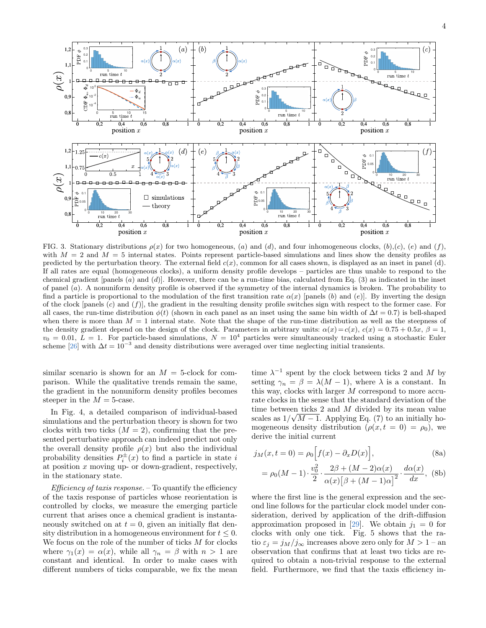

<span id="page-3-0"></span>FIG. 3. Stationary distributions  $\rho(x)$  for two homogeneous, (a) and (d), and four inhomogeneous clocks, (b),(c), (e) and (f), with  $M = 2$  and  $M = 5$  internal states. Points represent particle-based simulations and lines show the density profiles as predicted by the perturbation theory. The external field  $c(x)$ , common for all cases shown, is displayed as an inset in panel (d). If all rates are equal (homogeneous clocks), a uniform density profile develops – particles are thus unable to respond to the chemical gradient [panels  $(a)$  and  $(d)$ ]. However, there can be a run-time bias, calculated from Eq.  $(3)$  as indicated in the inset of panel (a). A nonuniform density profile is observed if the symmetry of the internal dynamics is broken. The probability to find a particle is proportional to the modulation of the first transition rate  $\alpha(x)$  [panels (b) and (e)]. By inverting the design of the clock [panels  $(c)$  and  $(f)$ ], the gradient in the resulting density profile switches sign with respect to the former case. For all cases, the run-time distribution  $\phi(t)$  (shown in each panel as an inset using the same bin width of  $\Delta t = 0.7$ ) is bell-shaped when there is more than  $M = 1$  internal state. Note that the shape of the run-time distribution as well as the steepness of the density gradient depend on the design of the clock. Parameters in arbitrary units:  $\alpha(x) = c(x)$ ,  $c(x) = 0.75 + 0.5x$ ,  $\beta = 1$ ,  $v_0 = 0.01, L = 1$ . For particle-based simulations,  $N = 10^4$  particles were simultaneously tracked using a stochastic Euler scheme [\[26\]](#page-6-0) with  $\Delta t = 10^{-3}$  and density distributions were averaged over time neglecting initial transients.

similar scenario is shown for an  $M = 5$ -clock for comparison. While the qualitative trends remain the same, the gradient in the nonuniform density profiles becomes steeper in the  $M = 5$ -case.

In Fig. [4,](#page-4-0) a detailed comparison of individual-based simulations and the perturbation theory is shown for two clocks with two ticks  $(M = 2)$ , confirming that the presented perturbative approach can indeed predict not only the overall density profile  $\rho(x)$  but also the individual probability densities  $P_i^{\pm}(x)$  to find a particle in state i at position  $x$  moving up- or down-gradient, respectively, in the stationary state.

*Efficiency of taxis response.*  $-$  To quantify the efficiency of the taxis response of particles whose reorientation is controlled by clocks, we measure the emerging particle current that arises once a chemical gradient is instantaneously switched on at  $t = 0$ , given an initially flat density distribution in a homogeneous environment for  $t \leq 0$ . We focus on the role of the number of ticks  $M$  for clocks where  $\gamma_1(x) = \alpha(x)$ , while all  $\gamma_n = \beta$  with  $n > 1$  are constant and identical. In order to make cases with different numbers of ticks comparable, we fix the mean

time  $\lambda^{-1}$  spent by the clock between ticks 2 and M by setting  $\gamma_n = \beta = \lambda(M-1)$ , where  $\lambda$  is a constant. In this way, clocks with larger M correspond to more accurate clocks in the sense that the standard deviation of the time between ticks 2 and M divided by its mean value scales as  $1/\sqrt{M-1}$ . Applying Eq. [\(7\)](#page-2-0) to an initially homogeneous density distribution  $(\rho(x, t = 0) = \rho_0)$ , we derive the initial current

$$
j_M(x, t = 0) = \rho_0 \left[ f(x) - \partial_x D(x) \right], \tag{8a}
$$

<span id="page-3-1"></span>
$$
= \rho_0(M-1) \cdot \frac{v_0^2}{2} \cdot \frac{2\beta + (M-2)\alpha(x)}{\alpha(x)[\beta + (M-1)\alpha]^2} \cdot \frac{d\alpha(x)}{dx},
$$
 (8b)

where the first line is the general expression and the second line follows for the particular clock model under consideration, derived by application of the drift-diffusion approximation proposed in [\[29\]](#page-6-3). We obtain  $j_1 = 0$  for clocks with only one tick. Fig. [5](#page-4-1) shows that the ratio  $\varepsilon_j = j_M/j_\infty$  increases above zero only for  $M > 1$  – an observation that confirms that at least two ticks are required to obtain a non-trivial response to the external field. Furthermore, we find that the taxis efficiency in-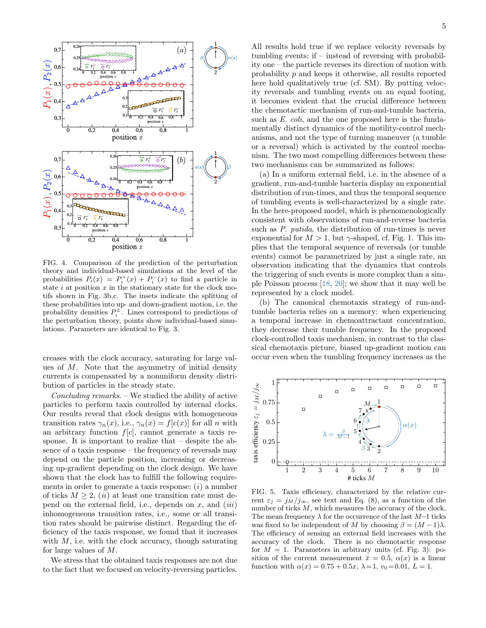

<span id="page-4-0"></span>FIG. 4. Comparison of the prediction of the perturbation theory and individual-based simulations at the level of the probabilities  $P_i(x) = P_i^+(x) + P_i^-(x)$  to find a particle in state  $i$  at position  $x$  in the stationary state for the clock motifs shown in Fig. [3b](#page-3-0),c. The insets indicate the splitting of these probabilities into up- and down-gradient motion, i.e. the probability densities  $P_i^{\pm}$ . Lines correspond to predictions of the perturbation theory, points show individual-based simulations. Parameters are identical to Fig. [3.](#page-3-0)

creases with the clock accuracy, saturating for large values of M. Note that the asymmetry of initial density currents is compensated by a nonuniform density distribution of particles in the steady state.

Concluding remarks. – We studied the ability of active particles to perform taxis controlled by internal clocks. Our results reveal that clock designs with homogeneous transition rates  $\gamma_n(x)$ , i.e.,  $\gamma_n(x) = f[c(x)]$  for all n with an arbitrary function  $f[c]$ , cannot generate a taxis response. It is important to realize that – despite the absence of a taxis response – the frequency of reversals may depend on the particle position, increasing or decreasing up-gradient depending on the clock design. We have shown that the clock has to fulfill the following requirements in order to generate a taxis response:  $(i)$  a number of ticks  $M \geq 2$ , *(ii)* at least one transition rate must depend on the external field, i.e., depends on  $x$ , and  $(iii)$ inhomogeneous transition rates, i.e., some or all transition rates should be pairwise distinct. Regarding the efficiency of the taxis response, we found that it increases with  $M$ , i.e. with the clock accuracy, though saturating for large values of M.

We stress that the obtained taxis responses are not due to the fact that we focused on velocity-reversing particles.

All results hold true if we replace velocity reversals by tumbling events: if – instead of reversing with probability one – the particle reverses its direction of motion with probability p and keeps it otherwise, all results reported here hold qualitatively true (cf. SM). By putting velocity reversals and tumbling events on an equal footing, it becomes evident that the crucial difference between the chemotactic mechanism of run-and-tumble bacteria, such as E. coli, and the one proposed here is the fundamentally distinct dynamics of the motility-control mechanisms, and not the type of turning maneuver (a tumble or a reversal) which is activated by the control mechanism. The two most compelling differences between these two mechanisms can be summarized as follows:

(a) In a uniform external field, i.e. in the absence of a gradient, run-and-tumble bacteria display an exponential distribution of run-times, and thus the temporal sequence of tumbling events is well-characterized by a single rate. In the here-proposed model, which is phenomenologically consistent with observations of run-and-reverse bacteria such as *P. putida*, the distribution of run-times is never exponential for  $M > 1$ , but  $\gamma$ -shaped, cf. Fig. [1.](#page-1-0) This implies that the temporal sequence of reversals (or tumble events) cannot be parametrized by just a single rate, an observation indicating that the dynamics that controls the triggering of such events is more complex than a simple Poisson process [\[18,](#page-5-15) [20\]](#page-5-17); we show that it may well be represented by a clock model.

(b) The canonical chemotaxis strategy of run-andtumble bacteria relies on a memory: when experiencing a temporal increase in chemoattractant concentration, they decrease their tumble frequency. In the proposed clock-controlled taxis mechanism, in contrast to the classical chemotaxis picture, biased up-gradient motion can occur even when the tumbling frequency increases as the



<span id="page-4-1"></span>FIG. 5. Taxis efficiency, characterized by the relative current  $\varepsilon_j = j_M/j_\infty$ , see text and Eq. [\(8\)](#page-3-1), as a function of the number of ticks M, which measures the accuracy of the clock. The mean frequency  $\lambda$  for the occurrence of the last  $M-1$  ticks was fixed to be independent of M by choosing  $\beta = (M-1)\lambda$ . The efficiency of sensing an external field increases with the accuracy of the clock. There is no chemotactic response for  $M = 1$ . Parameters in arbitrary units (cf. Fig. [3\)](#page-3-0): position of the current measurement  $\bar{x} = 0.5$ ,  $\alpha(x)$  is a linear function with  $\alpha(x) = 0.75 + 0.5x$ ,  $\lambda = 1$ ,  $v_0 = 0.01$ ,  $L = 1$ .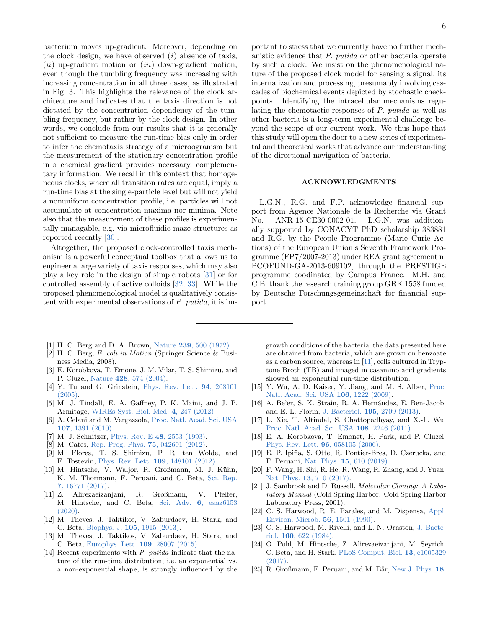bacterium moves up-gradient. Moreover, depending on the clock design, we have observed  $(i)$  absence of taxis,  $(ii)$  up-gradient motion or  $(iii)$  down-gradient motion, even though the tumbling frequency was increasing with increasing concentration in all three cases, as illustrated in Fig. [3.](#page-3-0) This highlights the relevance of the clock architecture and indicates that the taxis direction is not dictated by the concentration dependency of the tumbling frequency, but rather by the clock design. In other words, we conclude from our results that it is generally not sufficient to measure the run-time bias only in order to infer the chemotaxis strategy of a microogranism but the measurement of the stationary concentration profile in a chemical gradient provides necessary, complementary information. We recall in this context that homogeneous clocks, where all transition rates are equal, imply a run-time bias at the single-particle level but will not yield a nonuniform concentration profile, i.e. particles will not accumulate at concentration maxima nor minima. Note also that the measurement of these profiles is experimentally managable, e.g. via microfluidic maze structures as reported recently [\[30\]](#page-6-4).

Altogether, the proposed clock-controlled taxis mechanism is a powerful conceptual toolbox that allows us to engineer a large variety of taxis responses, which may also play a key role in the design of simple robots [\[31\]](#page-6-5) or for controlled assembly of active colloids [\[32,](#page-6-6) [33\]](#page-6-7). While the proposed phenomenological model is qualitatively consistent with experimental observations of P. putida, it is im-

- <span id="page-5-0"></span>[1] H. C. Berg and D. A. Brown, Nature 239[, 500 \(1972\).](https://doi.org/10.1038/239500a0)
- <span id="page-5-1"></span>[2] H. C. Berg, E. coli in Motion (Springer Science & Business Media, 2008).
- <span id="page-5-2"></span>[3] E. Korobkova, T. Emone, J. M. Vilar, T. S. Shimizu, and P. Cluzel, Nature 428[, 574 \(2004\).](https://doi.org/10.1038/nature02404)
- <span id="page-5-3"></span>[4] Y. Tu and G. Grinstein, [Phys. Rev. Lett.](https://doi.org/10.1103/PhysRevLett.94.208101) 94, 208101 [\(2005\).](https://doi.org/10.1103/PhysRevLett.94.208101)
- <span id="page-5-4"></span>[5] M. J. Tindall, E. A. Gaffney, P. K. Maini, and J. P. Armitage, [WIREs Syst. Biol. Med.](https://doi.org/10.1002/wsbm.1168) 4, 247 (2012).
- <span id="page-5-5"></span>[6] A. Celani and M. Vergassola, [Proc. Natl. Acad. Sci. USA](https://doi.org/10.1073/pnas.0909673107) 107[, 1391 \(2010\).](https://doi.org/10.1073/pnas.0909673107)
- [7] M. J. Schnitzer, Phys. Rev. E 48[, 2553 \(1993\).](http://link.aps.org/doi/10.1103/PhysRevE.48.2553)
- [8] M. Cates, [Rep. Prog. Phys.](http://stacks.iop.org/0034-4885/75/i=4/a=042601) 75, 042601 (2012).
- <span id="page-5-6"></span>[9] M. Flores, T. S. Shimizu, P. R. ten Wolde, and F. Tostevin, [Phys. Rev. Lett.](https://doi.org/10.1103/PhysRevLett.109.148101) 109, 148101 (2012).
- <span id="page-5-7"></span>[10] M. Hintsche, V. Waljor, R. Großmann, M. J. Kühn, K. M. Thormann, F. Peruani, and C. Beta, [Sci. Rep.](https://doi.org/10.1038/s41598-017-16428-9) 7[, 16771 \(2017\).](https://doi.org/10.1038/s41598-017-16428-9)
- <span id="page-5-8"></span>[11] Z. Alirezaeizanjani, R. Großmann, V. Pfeifer, M. Hintsche, and C. Beta, Sci. Adv. 6[, eaaz6153](https://doi.org/10.1126/sciadv.aaz6153) [\(2020\).](https://doi.org/10.1126/sciadv.aaz6153)
- <span id="page-5-9"></span>[12] M. Theves, J. Taktikos, V. Zaburdaev, H. Stark, and C. Beta, Biophys. J. 105[, 1915 \(2013\).](https://doi.org/10.1016/j.bpj.2013.08.047)
- <span id="page-5-10"></span>[13] M. Theves, J. Taktikos, V. Zaburdaev, H. Stark, and C. Beta, [Europhys. Lett.](https://doi.org/10.1209/0295-5075/109/28007) 109, 28007 (2015).
- <span id="page-5-11"></span>[14] Recent experiments with P. putida indicate that the nature of the run-time distribution, i.e. an exponential vs. a non-exponential shape, is strongly influenced by the

portant to stress that we currently have no further mechanistic evidence that P. putida or other bacteria operate by such a clock. We insist on the phenomenological nature of the proposed clock model for sensing a signal, its internalization and processing, presumably involving cascades of biochemical events depicted by stochastic checkpoints. Identifying the intracellular mechanisms regulating the chemotactic responses of P. putida as well as other bacteria is a long-term experimental challenge beyond the scope of our current work. We thus hope that this study will open the door to a new series of experimental and theoretical works that advance our understanding of the directional navigation of bacteria.

### ACKNOWLEDGMENTS

L.G.N., R.G. and F.P. acknowledge financial support from Agence Nationale de la Recherche via Grant No. ANR-15-CE30-0002-01. L.G.N. was additionally supported by CONACYT PhD scholarship 383881 and R.G. by the People Programme (Marie Curie Actions) of the European Union's Seventh Framework Programme (FP7/2007-2013) under REA grant agreement n. PCOFUND-GA-2013-609102, through the PRESTIGE programme coodinated by Campus France. M.H. and C.B. thank the research training group GRK 1558 funded by Deutsche Forschungsgemeinschaft for financial support.

growth conditions of the bacteria: the data presented here are obtained from bacteria, which are grown on benzoate as a carbon source, whereas in [\[11\]](#page-5-8), cells cultured in Tryptone Broth (TB) and imaged in casamino acid gradients showed an exponential run-time distribution.

- <span id="page-5-12"></span>[15] Y. Wu, A. D. Kaiser, Y. Jiang, and M. S. Alber, [Proc.](https://doi.org/10.1073/pnas.0811662106) [Natl. Acad. Sci. USA](https://doi.org/10.1073/pnas.0811662106) 106, 1222 (2009).
- <span id="page-5-13"></span>[16] A. Be'er, S. K. Strain, R. A. Hernández, E. Ben-Jacob, and E.-L. Florin, J. Bacteriol. 195[, 2709 \(2013\).](https://doi.org/10.1128/JB.00080-13)
- <span id="page-5-14"></span>[17] L. Xie, T. Altindal, S. Chattopadhyay, and X.-L. Wu, [Proc. Natl. Acad. Sci. USA](https://doi.org/10.1073/pnas.1011953108) 108, 2246 (2011).
- <span id="page-5-15"></span>[18] E. A. Korobkova, T. Emonet, H. Park, and P. Cluzel, [Phys. Rev. Lett.](https://doi.org/10.1103/PhysRevLett.96.058105) 96, 058105 (2006).
- <span id="page-5-16"></span>[19] E. P. Ipiña, S. Otte, R. Pontier-Bres, D. Czerucka, and F. Peruani, Nat. Phys. 15[, 610 \(2019\).](https://doi.org/10.1038/s41567-019-0460-5)
- <span id="page-5-17"></span>[20] F. Wang, H. Shi, R. He, R. Wang, R. Zhang, and J. Yuan, Nat. Phys. 13[, 710 \(2017\).](https://doi.org/10.1038/nphys4081)
- <span id="page-5-18"></span>[21] J. Sambrook and D. Russell, Molecular Cloning: A Laboratory Manual (Cold Spring Harbor: Cold Spring Harbor Laboratory Press, 2001).
- [22] C. S. Harwood, R. E. Parales, and M. Dispensa, [Appl.](http://aem.asm.org/content/56/5/1501) [Environ. Microb.](http://aem.asm.org/content/56/5/1501) 56, 1501 (1990).
- [23] C. S. Harwood, M. Rivelli, and L. N. Ornston, [J. Bacte](https://jb.asm.org/content/160/2/622)riol. 160[, 622 \(1984\).](https://jb.asm.org/content/160/2/622)
- <span id="page-5-19"></span>[24] O. Pohl, M. Hintsche, Z. Alirezaeizanjani, M. Seyrich, C. Beta, and H. Stark, [PLoS Comput. Biol.](https://doi.org/10.1371/journal.pcbi.1005329) 13, e1005329 [\(2017\).](https://doi.org/10.1371/journal.pcbi.1005329)
- <span id="page-5-20"></span>[25] R. Großmann, F. Peruani, and M. Bär, [New J. Phys.](http://stacks.iop.org/1367-2630/18/i=4/a=043009) 18,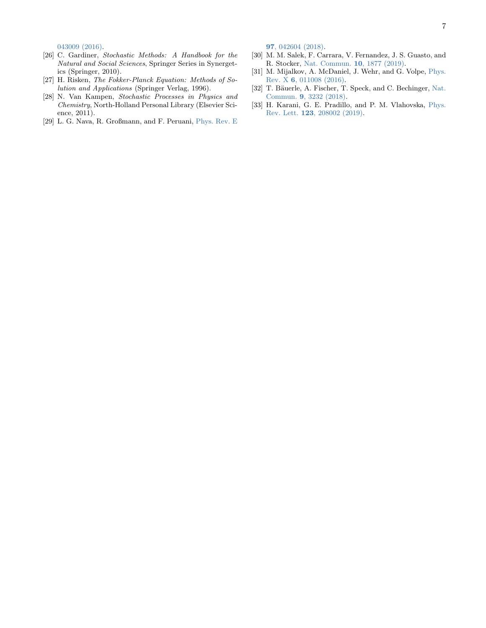[043009 \(2016\).](http://stacks.iop.org/1367-2630/18/i=4/a=043009)

- <span id="page-6-0"></span>[26] C. Gardiner, Stochastic Methods: A Handbook for the Natural and Social Sciences, Springer Series in Synergetics (Springer, 2010).
- <span id="page-6-1"></span>[27] H. Risken, The Fokker-Planck Equation: Methods of Solution and Applications (Springer Verlag, 1996).
- <span id="page-6-2"></span>[28] N. Van Kampen, Stochastic Processes in Physics and Chemistry, North-Holland Personal Library (Elsevier Science, 2011).
- <span id="page-6-3"></span>[29] L. G. Nava, R. Großmann, and F. Peruani, [Phys. Rev. E](https://doi.org/10.1103/PhysRevE.97.042604)

97[, 042604 \(2018\).](https://doi.org/10.1103/PhysRevE.97.042604)

- <span id="page-6-4"></span>[30] M. M. Salek, F. Carrara, V. Fernandez, J. S. Guasto, and R. Stocker, [Nat. Commun.](https://doi.org/10.1038/s41467-019-09521-2) 10, 1877 (2019).
- <span id="page-6-5"></span>[31] M. Mijalkov, A. McDaniel, J. Wehr, and G. Volpe, [Phys.](https://doi.org/10.1103/PhysRevX.6.011008) Rev. X 6[, 011008 \(2016\).](https://doi.org/10.1103/PhysRevX.6.011008)
- <span id="page-6-6"></span>[32] T. Bäuerle, A. Fischer, T. Speck, and C. Bechinger, [Nat.](https://doi.org/10.1038/s41467-018-05675-7) Commun. 9[, 3232 \(2018\).](https://doi.org/10.1038/s41467-018-05675-7)
- <span id="page-6-7"></span>[33] H. Karani, G. E. Pradillo, and P. M. Vlahovska, [Phys.](https://doi.org/10.1103/PhysRevLett.123.208002) Rev. Lett. 123[, 208002 \(2019\).](https://doi.org/10.1103/PhysRevLett.123.208002)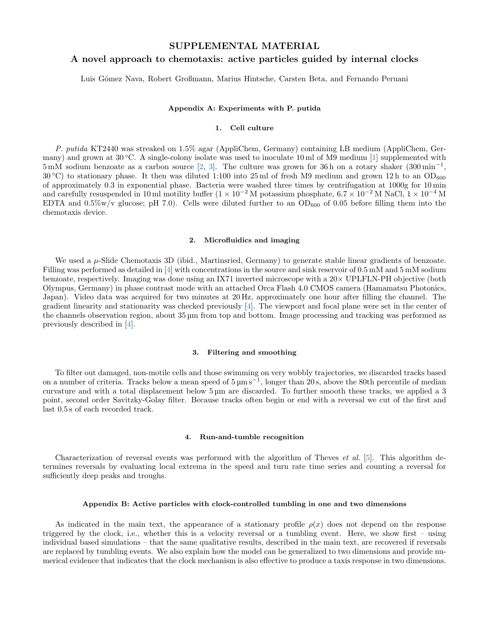## SUPPLEMENTAL MATERIAL

# A novel approach to chemotaxis: active particles guided by internal clocks

Luis Gómez Nava, Robert Großmann, Marius Hintsche, Carsten Beta, and Fernando Peruani

#### Appendix A: Experiments with P. putida

## 1. Cell culture

P. putida KT2440 was streaked on 1.5% agar (AppliChem, Germany) containing LB medium (AppliChem, Germany) and grown at  $30^{\circ}$ C. A single-colony isolate was used to inoculate 10 ml of M9 medium [1] supplemented with  $5 \text{ mM}$  sodium benzoate as a carbon source [2, 3]. The culture was grown for 36 h on a rotary shaker  $(300 \text{ min}^{-1},$  $30^{\circ}$ C) to stationary phase. It then was diluted 1:100 into 25 ml of fresh M9 medium and grown 12 h to an OD<sub>600</sub> of approximately 0.3 in exponential phase. Bacteria were washed three times by centrifugation at 1000g for 10 min and carefully resuspended in 10 ml motility buffer  $(1 \times 10^{-2} M)$  potassium phosphate,  $6.7 \times 10^{-2} M$  NaCl,  $1 \times 10^{-4} M$ EDTA and  $0.5\%$  w/v glucose; pH 7.0). Cells were diluted further to an OD<sub>600</sub> of 0.05 before filling them into the chemotaxis device.

#### 2. Microfluidics and imaging

We used a  $\mu$ -Slide Chemotaxis 3D (ibid., Martinsried, Germany) to generate stable linear gradients of benzoate. Filling was performed as detailed in [4] with concentrations in the source and sink reservoir of 0.5 mM and 5 mM sodium benzoate, respectively. Imaging was done using an IX71 inverted microscope with a 20× UPLFLN-PH objective (both Olympus, Germany) in phase contrast mode with an attached Orca Flash 4.0 CMOS camera (Hamamatsu Photonics, Japan). Video data was acquired for two minutes at 20 Hz, approximately one hour after filling the channel. The gradient linearity and stationarity was checked previously [4]. The viewport and focal plane were set in the center of the channels observation region, about 35 µm from top and bottom. Image processing and tracking was performed as previously described in [4].

#### 3. Filtering and smoothing

To filter out damaged, non-motile cells and those swimming on very wobbly trajectories, we discarded tracks based on a number of criteria. Tracks below a mean speed of  $5 \mu m s^{-1}$ , longer than 20s, above the 80th percentile of median curvature and with a total displacement below 5 µm are discarded. To further smooth these tracks, we applied a 3 point, second order Savitzky-Golay filter. Because tracks often begin or end with a reversal we cut of the first and last 0.5 s of each recorded track.

#### 4. Run-and-tumble recognition

Characterization of reversal events was performed with the algorithm of Theves *et al.* [5]. This algorithm determines reversals by evaluating local extrema in the speed and turn rate time series and counting a reversal for sufficiently deep peaks and troughs.

#### Appendix B: Active particles with clock-controlled tumbling in one and two dimensions

As indicated in the main text, the appearance of a stationary profile  $\rho(x)$  does not depend on the response triggered by the clock, i.e., whether this is a velocity reversal or a tumbling event. Here, we show first – using individual based simulations – that the same qualitative results, described in the main text, are recovered if reversals are replaced by tumbling events. We also explain how the model can be generalized to two dimensions and provide numerical evidence that indicates that the clock mechanism is also effective to produce a taxis response in two dimensions.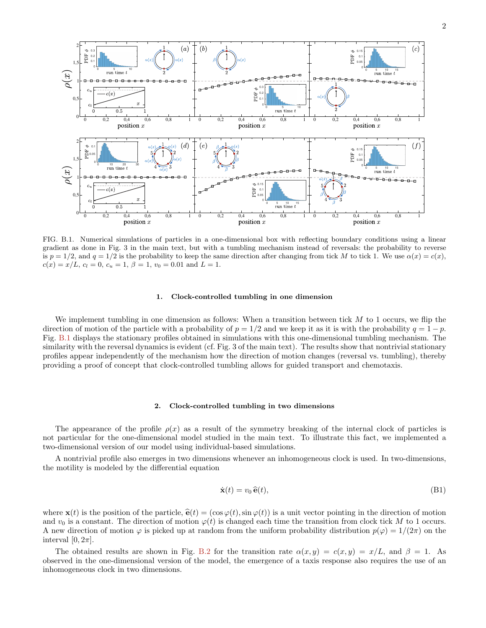

FIG. B.1. Numerical simulations of particles in a one-dimensional box with reflecting boundary conditions using a linear gradient as done in Fig. 3 in the main text, but with a tumbling mechanism instead of reversals: the probability to reverse is  $p = 1/2$ , and  $q = 1/2$  is the probability to keep the same direction after changing from tick M to tick 1. We use  $\alpha(x) = c(x)$ ,  $c(x) = x/L$ ,  $c_l = 0$ ,  $c_u = 1$ ,  $\beta = 1$ ,  $v_0 = 0.01$  and  $L = 1$ .

#### 1. Clock-controlled tumbling in one dimension

We implement tumbling in one dimension as follows: When a transition between tick  $M$  to 1 occurs, we flip the direction of motion of the particle with a probability of  $p = 1/2$  and we keep it as it is with the probability  $q = 1 - p$ . Fig. B.1 displays the stationary profiles obtained in simulations with this one-dimensional tumbling mechanism. The similarity with the reversal dynamics is evident (cf. Fig. 3 of the main text). The results show that nontrivial stationary profiles appear independently of the mechanism how the direction of motion changes (reversal vs. tumbling), thereby providing a proof of concept that clock-controlled tumbling allows for guided transport and chemotaxis.

#### 2. Clock-controlled tumbling in two dimensions

The appearance of the profile  $\rho(x)$  as a result of the symmetry breaking of the internal clock of particles is not particular for the one-dimensional model studied in the main text. To illustrate this fact, we implemented a two-dimensional version of our model using individual-based simulations.

A nontrivial profile also emerges in two dimensions whenever an inhomogeneous clock is used. In two-dimensions, the motility is modeled by the differential equation

$$
\dot{\mathbf{x}}(t) = v_0 \,\hat{\mathbf{e}}(t),\tag{B1}
$$

where  $\mathbf{x}(t)$  is the position of the particle,  $\hat{\mathbf{e}}(t) = (\cos \varphi(t), \sin \varphi(t))$  is a unit vector pointing in the direction of motion and  $v_0$  is a constant. The direction of motion  $\varphi(t)$  is changed each time the transition from clock tick M to 1 occurs. A new direction of motion  $\varphi$  is picked up at random from the uniform probability distribution  $p(\varphi) = 1/(2\pi)$  on the interval  $[0, 2\pi]$ .

The obtained results are shown in Fig. B.2 for the transition rate  $\alpha(x, y) = c(x, y) = x/L$ , and  $\beta = 1$ . As observed in the one-dimensional version of the model, the emergence of a taxis response also requires the use of an inhomogeneous clock in two dimensions.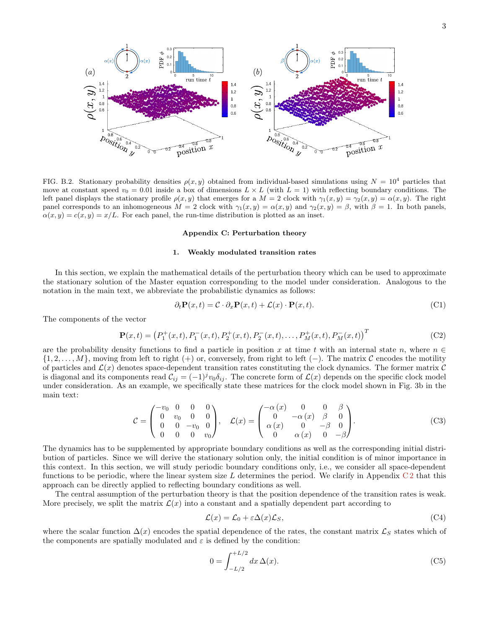

FIG. B.2. Stationary probability densities  $\rho(x, y)$  obtained from individual-based simulations using  $N = 10^4$  particles that move at constant speed  $v_0 = 0.01$  inside a box of dimensions  $L \times L$  (with  $L = 1$ ) with reflecting boundary conditions. The left panel displays the stationary profile  $\rho(x, y)$  that emerges for a  $M = 2$  clock with  $\gamma_1(x, y) = \gamma_2(x, y) = \alpha(x, y)$ . The right panel corresponds to an inhomogeneous  $M = 2$  clock with  $\gamma_1(x, y) = \alpha(x, y)$  and  $\gamma_2(x, y) = \beta$ , with  $\beta = 1$ . In both panels,  $\alpha(x, y) = c(x, y) = x/L$ . For each panel, the run-time distribution is plotted as an inset.

#### Appendix C: Perturbation theory

#### 1. Weakly modulated transition rates

In this section, we explain the mathematical details of the perturbation theory which can be used to approximate the stationary solution of the Master equation corresponding to the model under consideration. Analogous to the notation in the main text, we abbreviate the probabilistic dynamics as follows:

$$
\partial_t \mathbf{P}(x,t) = \mathcal{C} \cdot \partial_x \mathbf{P}(x,t) + \mathcal{L}(x) \cdot \mathbf{P}(x,t). \tag{C1}
$$

The components of the vector

$$
\mathbf{P}(x,t) = (P_1^+(x,t), P_1^-(x,t), P_2^+(x,t), P_2^-(x,t), \dots, P_M^+(x,t), P_M^-(x,t))^T
$$
(C2)

are the probability density functions to find a particle in position x at time t with an internal state n, where  $n \in \mathbb{Z}$  $\{1, 2, \ldots, M\}$ , moving from left to right (+) or, conversely, from right to left (−). The matrix C encodes the motility of particles and  $\mathcal{L}(x)$  denotes space-dependent transition rates constituting the clock dynamics. The former matrix  $\mathcal{C}$ is diagonal and its components read  $\mathcal{C}_{ij} = (-1)^j v_0 \delta_{ij}$ . The concrete form of  $\mathcal{L}(x)$  depends on the specific clock model under consideration. As an example, we specifically state these matrices for the clock model shown in Fig. 3b in the main text:

$$
\mathcal{C} = \begin{pmatrix} -v_0 & 0 & 0 & 0 \\ 0 & v_0 & 0 & 0 \\ 0 & 0 & -v_0 & 0 \\ 0 & 0 & 0 & v_0 \end{pmatrix}, \quad \mathcal{L}(x) = \begin{pmatrix} -\alpha(x) & 0 & 0 & \beta \\ 0 & -\alpha(x) & \beta & 0 \\ \alpha(x) & 0 & -\beta & 0 \\ 0 & \alpha(x) & 0 & -\beta \end{pmatrix}.
$$
 (C3)

The dynamics has to be supplemented by appropriate boundary conditions as well as the corresponding initial distribution of particles. Since we will derive the stationary solution only, the initial condition is of minor importance in this context. In this section, we will study periodic boundary conditions only, i.e., we consider all space-dependent functions to be periodic, where the linear system size L determines the period. We clarify in Appendix  $C_2$  that this approach can be directly applied to reflecting boundary conditions as well.

The central assumption of the perturbation theory is that the position dependence of the transition rates is weak. More precisely, we split the matrix  $\mathcal{L}(x)$  into a constant and a spatially dependent part according to

$$
\mathcal{L}(x) = \mathcal{L}_0 + \varepsilon \Delta(x) \mathcal{L}_S,\tag{C4}
$$

where the scalar function  $\Delta(x)$  encodes the spatial dependence of the rates, the constant matrix  $\mathcal{L}_S$  states which of the components are spatially modulated and  $\varepsilon$  is defined by the condition:

$$
0 = \int_{-L/2}^{+L/2} dx \,\Delta(x). \tag{C5}
$$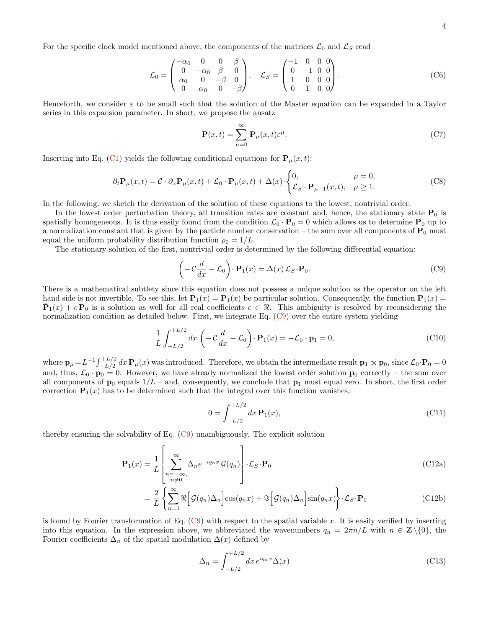$$
\mathcal{L}_0 = \begin{pmatrix} -\alpha_0 & 0 & 0 & \beta \\ 0 & -\alpha_0 & \beta & 0 \\ \alpha_0 & 0 & -\beta & 0 \\ 0 & \alpha_0 & 0 & -\beta \end{pmatrix}, \quad \mathcal{L}_S = \begin{pmatrix} -1 & 0 & 0 & 0 \\ 0 & -1 & 0 & 0 \\ 1 & 0 & 0 & 0 \\ 0 & 1 & 0 & 0 \end{pmatrix}.
$$
 (C6)

Henceforth, we consider  $\varepsilon$  to be small such that the solution of the Master equation can be expanded in a Taylor series in this expansion parameter. In short, we propose the ansatz

$$
\mathbf{P}(x,t) = \sum_{\mu=0}^{\infty} \mathbf{P}_{\mu}(x,t) \varepsilon^{\mu}.
$$
 (C7)

Inserting into Eq. (C1) yields the following conditional equations for  ${\bf P}_{\mu}(x,t)$ :

$$
\partial_t \mathbf{P}_{\mu}(x,t) = \mathcal{C} \cdot \partial_x \mathbf{P}_{\mu}(x,t) + \mathcal{L}_0 \cdot \mathbf{P}_{\mu}(x,t) + \Delta(x) \cdot \begin{cases} 0, & \mu = 0, \\ \mathcal{L}_S \cdot \mathbf{P}_{\mu-1}(x,t), & \mu \ge 1. \end{cases}
$$
(C8)

In the following, we sketch the derivation of the solution of these equations to the lowest, nontrivial order.

In the lowest order perturbation theory, all transition rates are constant and, hence, the stationary state  $P_0$  is spatially homogeneous. It is thus easily found from the condition  $\mathcal{L}_0 \cdot \mathbf{P}_0 = 0$  which allows us to determine  $\mathbf{P}_0$  up to a normalization constant that is given by the particle number conservation – the sum over all components of  $P_0$  must equal the uniform probability distribution function  $\rho_0 = 1/L$ .

The stationary solution of the first, nontrivial order is determined by the following differential equation:

$$
\left(-\mathcal{C}\frac{d}{dx} - \mathcal{L}_0\right) \cdot \mathbf{P}_1(x) = \Delta(x) \mathcal{L}_S \cdot \mathbf{P}_0.
$$
 (C9)

There is a mathematical subtlety since this equation does not possess a unique solution as the operator on the left hand side is not invertible. To see this, let  $\mathbf{P}_1(x) = \overline{\mathbf{P}}_1(x)$  be particular solution. Consequently, the function  $\mathbf{P}_1(x) =$  $\bar{\mathbf{P}}_1(x) + c \mathbf{P}_0$  is a solution as well for all real coefficients  $c \in \Re$ . This ambiguity is resolved by reconsidering the normalization condition as detailed below. First, we integrate Eq. (C9) over the entire system yielding

$$
\frac{1}{L} \int_{-L/2}^{+L/2} dx \left( -\mathcal{C} \frac{d}{dx} - \mathcal{L}_0 \right) \cdot \mathbf{P}_1(x) = -\mathcal{L}_0 \cdot \mathbf{p}_1 = 0,
$$
\n(C10)

where  $\mathbf{p}_{\mu} = L^{-1} \int_{-L/2}^{+L/2} dx \, \mathbf{P}_{\mu}(x)$  was introduced. Therefore, we obtain the intermediate result  $\mathbf{p}_1 \propto \mathbf{p}_0$ , since  $\mathcal{L}_0 \cdot \mathbf{P}_0 = 0$ and, thus,  $\mathcal{L}_0 \cdot \mathbf{p}_0 = 0$ . However, we have already normalized the lowest order solution  $\mathbf{p}_0$  correctly – the sum over all components of  $\mathbf{p}_0$  equals  $1/L$  – and, consequently, we conclude that  $\mathbf{p}_1$  must equal zero. In short, the first order correction  $P_1(x)$  has to be determined such that the integral over this function vanishes,

$$
0 = \int_{-L/2}^{+L/2} dx \, \mathbf{P}_1(x),\tag{C11}
$$

thereby ensuring the solvability of Eq. (C9) unambiguously. The explicit solution

$$
\mathbf{P}_1(x) = \frac{1}{L} \left[ \sum_{\substack{n = -\infty \\ n \neq 0}}^{\infty} \Delta_n e^{-iq_n x} \mathcal{G}(q_n) \right] \cdot \mathcal{L}_S \cdot \mathbf{P}_0 \tag{C12a}
$$

$$
= \frac{2}{L} \left\{ \sum_{n=1}^{\infty} \Re \left[ \mathcal{G}(q_n) \Delta_n \right] \cos(q_n x) + \Im \left[ \mathcal{G}(q_n) \Delta_n \right] \sin(q_n x) \right\} \cdot \mathcal{L}_S \cdot \mathbf{P}_0 \tag{C12b}
$$

is found by Fourier transformation of Eq.  $(C9)$  with respect to the spatial variable x. It is easily verified by inserting into this equation. In the expression above, we abbreviated the wavenumbers  $q_n = 2\pi n/L$  with  $n \in \mathbb{Z} \setminus \{0\}$ , the Fourier coefficients  $\Delta_n$  of the spatial modulation  $\Delta(x)$  defined by

$$
\Delta_n = \int_{-L/2}^{+L/2} dx \, e^{iq_n x} \Delta(x) \tag{C13}
$$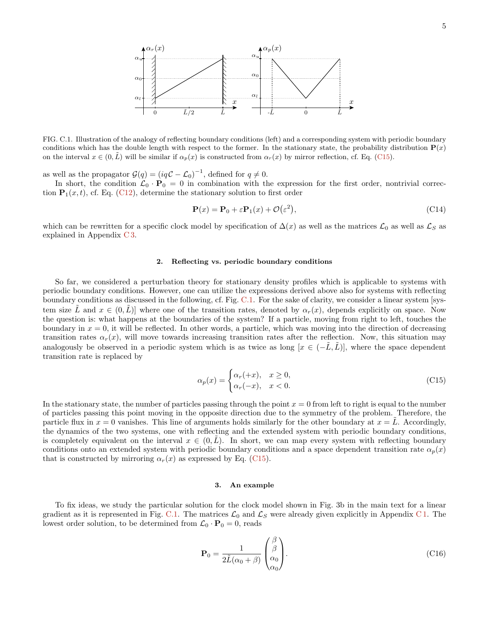

FIG. C.1. Illustration of the analogy of reflecting boundary conditions (left) and a corresponding system with periodic boundary conditions which has the double length with respect to the former. In the stationary state, the probability distribution  $P(x)$ on the interval  $x \in (0, \tilde{L})$  will be similar if  $\alpha_p(x)$  is constructed from  $\alpha_r(x)$  by mirror reflection, cf. Eq. (C15).

as well as the propagator  $\mathcal{G}(q) = (iq\mathcal{C} - \mathcal{L}_0)^{-1}$ , defined for  $q \neq 0$ .

In short, the condition  $\mathcal{L}_0 \cdot \mathbf{P}_0 = 0$  in combination with the expression for the first order, nontrivial correction  $P_1(x, t)$ , cf. Eq. (C12), determine the stationary solution to first order

$$
\mathbf{P}(x) = \mathbf{P}_0 + \varepsilon \mathbf{P}_1(x) + \mathcal{O}(\varepsilon^2),\tag{C14}
$$

which can be rewritten for a specific clock model by specification of  $\Delta(x)$  as well as the matrices  $\mathcal{L}_0$  as well as  $\mathcal{L}_S$  as explained in Appendix C 3.

## 2. Reflecting vs. periodic boundary conditions

So far, we considered a perturbation theory for stationary density profiles which is applicable to systems with periodic boundary conditions. However, one can utilize the expressions derived above also for systems with reflecting boundary conditions as discussed in the following, cf. Fig. C.1. For the sake of clarity, we consider a linear system [system size  $\tilde{L}$  and  $x \in (0,\tilde{L})$ ] where one of the transition rates, denoted by  $\alpha_r(x)$ , depends explicitly on space. Now the question is: what happens at the boundaries of the system? If a particle, moving from right to left, touches the boundary in  $x = 0$ , it will be reflected. In other words, a particle, which was moving into the direction of decreasing transition rates  $\alpha_r(x)$ , will move towards increasing transition rates after the reflection. Now, this situation may analogously be observed in a periodic system which is as twice as long  $[x \in (-\tilde{L}, \tilde{L})]$ , where the space dependent transition rate is replaced by

$$
\alpha_p(x) = \begin{cases} \alpha_r(+x), & x \ge 0, \\ \alpha_r(-x), & x < 0. \end{cases}
$$
\n(C15)

In the stationary state, the number of particles passing through the point  $x = 0$  from left to right is equal to the number of particles passing this point moving in the opposite direction due to the symmetry of the problem. Therefore, the particle flux in  $x = 0$  vanishes. This line of arguments holds similarly for the other boundary at  $x = \tilde{L}$ . Accordingly, the dynamics of the two systems, one with reflecting and the extended system with periodic boundary conditions, is completely equivalent on the interval  $x \in (0, L)$ . In short, we can map every system with reflecting boundary conditions onto an extended system with periodic boundary conditions and a space dependent transition rate  $\alpha_p(x)$ that is constructed by mirroring  $\alpha_r(x)$  as expressed by Eq. (C15).

#### 3. An example

To fix ideas, we study the particular solution for the clock model shown in Fig. 3b in the main text for a linear gradient as it is represented in Fig. C.1. The matrices  $\mathcal{L}_0$  and  $\mathcal{L}_S$  were already given explicitly in Appendix C 1. The lowest order solution, to be determined from  $\mathcal{L}_0 \cdot \mathbf{P}_0 = 0$ , reads

$$
\mathbf{P}_0 = \frac{1}{2\tilde{L}(\alpha_0 + \beta)} \begin{pmatrix} \beta \\ \beta \\ \alpha_0 \\ \alpha_0 \end{pmatrix} . \tag{C16}
$$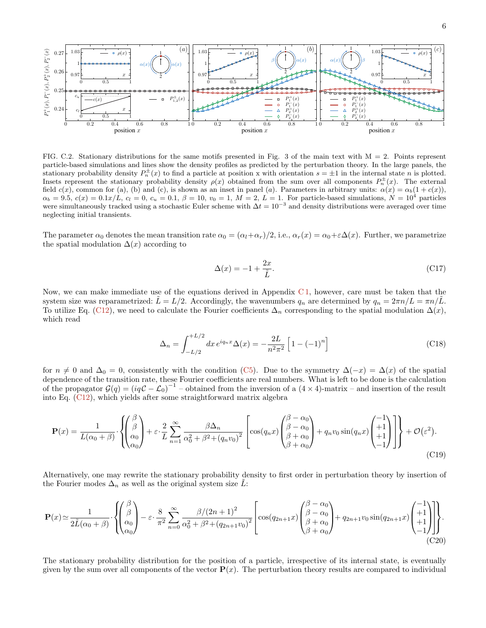

FIG. C.2. Stationary distributions for the same motifs presented in Fig. 3 of the main text with  $M = 2$ . Points represent particle-based simulations and lines show the density profiles as predicted by the perturbation theory. In the large panels, the stationary probability density  $P_n^{\pm}(x)$  to find a particle at position x with orientation  $s = \pm 1$  in the internal state n is plotted. Insets represent the stationary probability density  $\rho(x)$  obtained from the sum over all components  $P_n^{\pm}(x)$ . The external field  $c(x)$ , common for (a), (b) and (c), is shown as an inset in panel (a). Parameters in arbitrary units:  $\alpha(x) = \alpha_b(1 + c(x))$ ,  $\alpha_b = 9.5, c(x) = 0.1x/L, c_l = 0, c_u = 0.1, \beta = 10, v_0 = 1, M = 2, L = 1$ . For particle-based simulations,  $N = 10^4$  particles were simultaneously tracked using a stochastic Euler scheme with  $\Delta t = 10^{-3}$  and density distributions were averaged over time neglecting initial transients.

The parameter  $\alpha_0$  denotes the mean transition rate  $\alpha_0 = (\alpha_l + \alpha_r)/2$ , i.e.,  $\alpha_r(x) = \alpha_0 + \epsilon \Delta(x)$ . Further, we parametrize the spatial modulation  $\Delta(x)$  according to

$$
\Delta(x) = -1 + \frac{2x}{\tilde{L}}.\tag{C17}
$$

Now, we can make immediate use of the equations derived in Appendix C 1, however, care must be taken that the system size was reparametrized:  $L = L/2$ . Accordingly, the wavenumbers  $q_n$  are determined by  $q_n = 2\pi n/L = \pi n/L$ . To utilize Eq. (C12), we need to calculate the Fourier coefficients  $\Delta_n$  corresponding to the spatial modulation  $\Delta(x)$ , which read

$$
\Delta_n = \int_{-L/2}^{+L/2} dx \, e^{iq_n x} \Delta(x) = -\frac{2L}{n^2 \pi^2} \left[ 1 - (-1)^n \right] \tag{C18}
$$

for  $n \neq 0$  and  $\Delta_0 = 0$ , consistently with the condition (C5). Due to the symmetry  $\Delta(-x) = \Delta(x)$  of the spatial dependence of the transition rate, these Fourier coefficients are real numbers. What is left to be done is the calculation of the propagator  $G(q) = (iqC - \mathcal{L}_0)^{-1}$  – obtained from the inversion of a  $(4 \times 4)$ -matrix – and insertion of the result into Eq. (C12), which yields after some straightforward matrix algebra

$$
\mathbf{P}(x) = \frac{1}{L(\alpha_0 + \beta)} \cdot \left\{ \begin{pmatrix} \beta \\ \beta \\ \alpha_0 \\ \alpha_0 \end{pmatrix} + \varepsilon \cdot \frac{2}{L} \sum_{n=1}^{\infty} \frac{\beta \Delta_n}{\alpha_0^2 + \beta^2 + (q_n v_0)^2} \left[ \cos(q_n x) \begin{pmatrix} \beta - \alpha_0 \\ \beta - \alpha_0 \\ \beta + \alpha_0 \\ \beta + \alpha_0 \end{pmatrix} + q_n v_0 \sin(q_n x) \begin{pmatrix} -1 \\ +1 \\ +1 \\ -1 \end{pmatrix} \right] \right\} + \mathcal{O}(\varepsilon^2). \tag{C19}
$$

Alternatively, one may rewrite the stationary probability density to first order in perturbation theory by insertion of the Fourier modes  $\Delta_n$  as well as the original system size L:

$$
\mathbf{P}(x) \simeq \frac{1}{2\tilde{L}(\alpha_0+\beta)} \cdot \left\{ \begin{pmatrix} \beta \\ \beta \\ \alpha_0 \\ \alpha_0 \end{pmatrix} - \varepsilon \cdot \frac{8}{\pi^2} \sum_{n=0}^{\infty} \frac{\beta/(2n+1)^2}{\alpha_0^2 + \beta^2 + (q_{2n+1}v_0)^2} \left[ \cos(q_{2n+1}x) \begin{pmatrix} \beta-\alpha_0 \\ \beta-\alpha_0 \\ \beta+\alpha_0 \\ \beta+\alpha_0 \end{pmatrix} + q_{2n+1}v_0 \sin(q_{2n+1}x) \begin{pmatrix} -1 \\ +1 \\ +1 \\ -1 \end{pmatrix} \right] \right\}.
$$
\n(C20)

The stationary probability distribution for the position of a particle, irrespective of its internal state, is eventually given by the sum over all components of the vector  $P(x)$ . The perturbation theory results are compared to individual